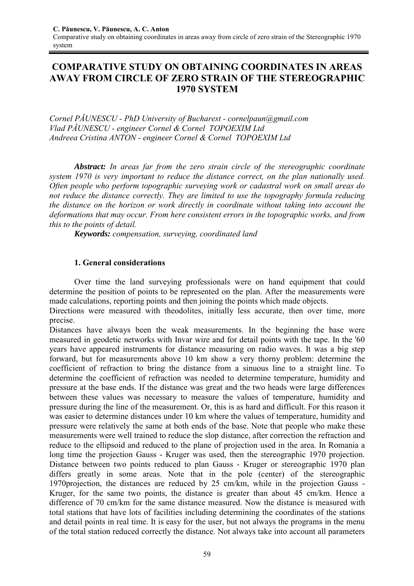# **COMPARATIVE STUDY ON OBTAINING COORDINATES IN AREAS AWAY FROM CIRCLE OF ZERO STRAIN OF THE STEREOGRAPHIC 1970 SYSTEM**

*Cornel PĂUNESCU - PhD University of Bucharest - cornelpaun@gmail.com Vlad PĂUNESCU - engineer Cornel & Cornel TOPOEXIM Ltd Andreea Cristina ANTON - engineer Cornel & Cornel TOPOEXIM Ltd* 

*Abstract: In areas far from the zero strain circle of the stereographic coordinate system 1970 is very important to reduce the distance correct, on the plan nationally used. Often people who perform topographic surveying work or cadastral work on small areas do not reduce the distance correctly. They are limited to use the topography formula reducing the distance on the horizon or work directly in coordinate without taking into account the deformations that may occur. From here consistent errors in the topographic works, and from this to the points of detail.* 

*Keywords: compensation, surveying, coordinated land* 

### **1. General considerations**

 Over time the land surveying professionals were on hand equipment that could determine the position of points to be represented on the plan. After the measurements were made calculations, reporting points and then joining the points which made objects.

Directions were measured with theodolites, initially less accurate, then over time, more precise.

Distances have always been the weak measurements. In the beginning the base were measured in geodetic networks with Invar wire and for detail points with the tape. In the '60 years have appeared instruments for distance measuring on radio waves. It was a big step forward, but for measurements above 10 km show a very thorny problem: determine the coefficient of refraction to bring the distance from a sinuous line to a straight line. To determine the coefficient of refraction was needed to determine temperature, humidity and pressure at the base ends. If the distance was great and the two heads were large differences between these values was necessary to measure the values of temperature, humidity and pressure during the line of the measurement. Or, this is as hard and difficult. For this reason it was easier to determine distances under 10 km where the values of temperature, humidity and pressure were relatively the same at both ends of the base. Note that people who make these measurements were well trained to reduce the slop distance, after correction the refraction and reduce to the ellipsoid and reduced to the plane of projection used in the area. In Romania a long time the projection Gauss - Kruger was used, then the stereographic 1970 projection. Distance between two points reduced to plan Gauss - Kruger or stereographic 1970 plan differs greatly in some areas. Note that in the pole (center) of the stereographic 1970projection, the distances are reduced by 25 cm/km, while in the projection Gauss - Kruger, for the same two points, the distance is greater than about 45 cm/km. Hence a difference of 70 cm/km for the same distance measured. Now the distance is measured with total stations that have lots of facilities including determining the coordinates of the stations and detail points in real time. It is easy for the user, but not always the programs in the menu of the total station reduced correctly the distance. Not always take into account all parameters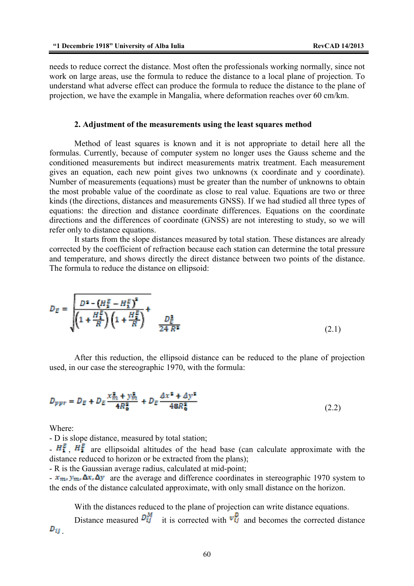needs to reduce correct the distance. Most often the professionals working normally, since not work on large areas, use the formula to reduce the distance to a local plane of projection. To understand what adverse effect can produce the formula to reduce the distance to the plane of projection, we have the example in Mangalia, where deformation reaches over 60 cm/km.

#### **2. Adjustment of the measurements using the least squares method**

 Method of least squares is known and it is not appropriate to detail here all the formulas. Currently, because of computer system no longer uses the Gauss scheme and the conditioned measurements but indirect measurements matrix treatment. Each measurement gives an equation, each new point gives two unknowns (x coordinate and y coordinate). Number of measurements (equations) must be greater than the number of unknowns to obtain the most probable value of the coordinate as close to real value. Equations are two or three kinds (the directions, distances and measurements GNSS). If we had studied all three types of equations: the direction and distance coordinate differences. Equations on the coordinate directions and the differences of coordinate (GNSS) are not interesting to study, so we will refer only to distance equations.

 It starts from the slope distances measured by total station. These distances are already corrected by the coefficient of refraction because each station can determine the total pressure and temperature, and shows directly the direct distance between two points of the distance. The formula to reduce the distance on ellipsoid:

$$
D_E = \frac{D^2 - (H_2^E - H_1^E)^2}{\left(1 + \frac{H_1^E}{R}\right)\left(1 + \frac{H_2^E}{R}\right)} + \frac{D_E^2}{24 R^2}
$$
(2.1)

After this reduction, the ellipsoid distance can be reduced to the plane of projection used, in our case the stereographic 1970, with the formula:

$$
D_{ppr} = D_E + D_E \frac{x_{m}^2 + y_{m}^2}{4R_0^2} + D_E \frac{Ax^2 + Ay^2}{48R_0^2}
$$
 (2.2)

Where:

- D is slope distance, measured by total station;

 $-H_1^F$  ,  $H_2^F$  are ellipsoidal altitudes of the head base (can calculate approximate with the distance reduced to horizon or be extracted from the plans);

- R is the Gaussian average radius, calculated at mid-point;

 $-x_{\text{m}} y_{\text{m}} \Delta x$ ,  $\Delta y$  are the average and difference coordinates in stereographic 1970 system to the ends of the distance calculated approximate, with only small distance on the horizon.

With the distances reduced to the plane of projection can write distance equations.

Distance measured  $\overrightarrow{D_{ij}}$  it is corrected with  $\overrightarrow{v_{ij}}$  and becomes the corrected distance  $D_{ij}$  .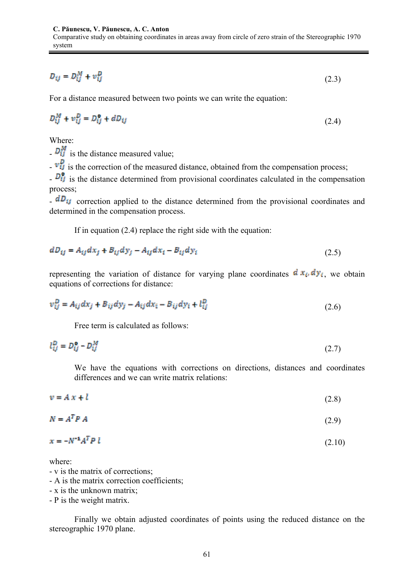$$
D_{ij} = D_{ij}^M + v_{ij}^D \tag{2.3}
$$

For a distance measured between two points we can write the equation:

$$
D_{ij}^M + v_{ij}^D = D_{ij}^{\alpha} + dD_{ij}
$$
 (2.4)

Where:

-  $\overline{D}_{ij}^{M}$  is the distance measured value;

 $\cdot \overrightarrow{v_{ij}}$  is the correction of the measured distance, obtained from the compensation process;

 $\overline{D_{ij}^0}$  is the distance determined from provisional coordinates calculated in the compensation process;

 $dD_{ij}$  correction applied to the distance determined from the provisional coordinates and determined in the compensation process.

If in equation (2.4) replace the right side with the equation:

$$
dD_{ij} = A_{ij}dx_j + B_{ij}dy_j - A_{ij}dx_i - B_{ij}dy_i
$$
\n(2.5)

representing the variation of distance for varying plane coordinates  $\frac{d x_i}{dy_i}$ , we obtain equations of corrections for distance:

$$
v_{ij}^D = A_{ij} dx_j + B_{ij} dy_j - A_{ij} dx_i - B_{ij} dy_i + l_{ij}^D
$$
\n
$$
(2.6)
$$

Free term is calculated as follows:

$$
l_{ij}^D = D_{ij}^0 - D_{ij}^M \tag{2.7}
$$

We have the equations with corrections on directions, distances and coordinates differences and we can write matrix relations:

 $v = A x + l$  $(2.8)$ 

$$
N = A^T P A \tag{2.9}
$$

$$
x = -N^{-1}A^t P l \tag{2.10}
$$

where:

- v is the matrix of corrections;
- A is the matrix correction coefficients;
- x is the unknown matrix;
- P is the weight matrix.

Finally we obtain adjusted coordinates of points using the reduced distance on the stereographic 1970 plane.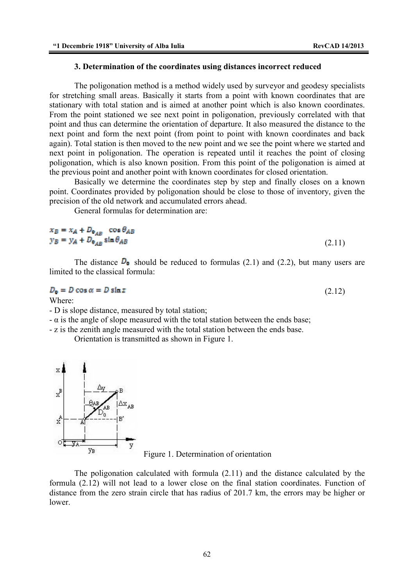### **3. Determination of the coordinates using distances incorrect reduced**

The poligonation method is a method widely used by surveyor and geodesy specialists for stretching small areas. Basically it starts from a point with known coordinates that are stationary with total station and is aimed at another point which is also known coordinates. From the point stationed we see next point in poligonation, previously correlated with that point and thus can determine the orientation of departure. It also measured the distance to the next point and form the next point (from point to point with known coordinates and back again). Total station is then moved to the new point and we see the point where we started and next point in poligonation. The operation is repeated until it reaches the point of closing poligonation, which is also known position. From this point of the poligonation is aimed at the previous point and another point with known coordinates for closed orientation.

Basically we determine the coordinates step by step and finally closes on a known point. Coordinates provided by poligonation should be close to those of inventory, given the precision of the old network and accumulated errors ahead.

General formulas for determination are:

$$
x_B = x_A + D_{o_{AB}} \cos \theta_{AB}
$$
  
\n
$$
y_B = y_A + D_{o_{AB}} \sin \theta_{AB}
$$
\n(2.11)

The distance  $\mathbf{D}_0$  should be reduced to formulas (2.1) and (2.2), but many users are limited to the classical formula:

$$
D_0 = D \cos \alpha = D \sin z \tag{2.12}
$$

Where:

- D is slope distance, measured by total station;

 $-\alpha$  is the angle of slope measured with the total station between the ends base;

- z is the zenith angle measured with the total station between the ends base.

Orientation is transmitted as shown in Figure 1.





The poligonation calculated with formula (2.11) and the distance calculated by the formula (2.12) will not lead to a lower close on the final station coordinates. Function of distance from the zero strain circle that has radius of 201.7 km, the errors may be higher or lower.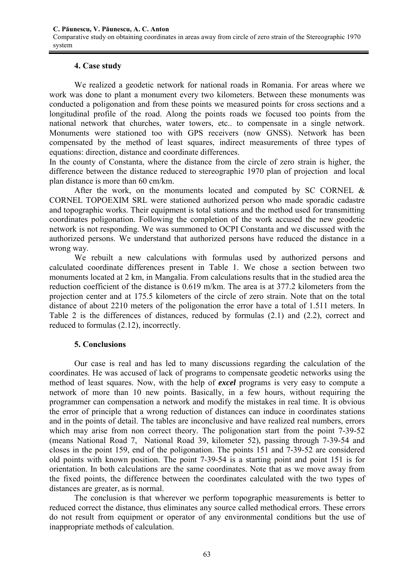### **4. Case study**

 We realized a geodetic network for national roads in Romania. For areas where we work was done to plant a monument every two kilometers. Between these monuments was conducted a poligonation and from these points we measured points for cross sections and a longitudinal profile of the road. Along the points roads we focused too points from the national network that churches, water towers, etc.. to compensate in a single network. Monuments were stationed too with GPS receivers (now GNSS). Network has been compensated by the method of least squares, indirect measurements of three types of equations: direction, distance and coordinate differences.

In the county of Constanta, where the distance from the circle of zero strain is higher, the difference between the distance reduced to stereographic 1970 plan of projection and local plan distance is more than 60 cm/km.

After the work, on the monuments located and computed by SC CORNEL  $\&$ CORNEL TOPOEXIM SRL were stationed authorized person who made sporadic cadastre and topographic works. Their equipment is total stations and the method used for transmitting coordinates poligonation. Following the completion of the work accused the new geodetic network is not responding. We was summoned to OCPI Constanta and we discussed with the authorized persons. We understand that authorized persons have reduced the distance in a wrong way.

 We rebuilt a new calculations with formulas used by authorized persons and calculated coordinate differences present in Table 1. We chose a section between two monuments located at 2 km, in Mangalia. From calculations results that in the studied area the reduction coefficient of the distance is 0.619 m/km. The area is at 377.2 kilometers from the projection center and at 175.5 kilometers of the circle of zero strain. Note that on the total distance of about 2210 meters of the poligonation the error have a total of 1.511 meters. In Table 2 is the differences of distances, reduced by formulas (2.1) and (2.2), correct and reduced to formulas (2.12), incorrectly.

### **5. Conclusions**

 Our case is real and has led to many discussions regarding the calculation of the coordinates. He was accused of lack of programs to compensate geodetic networks using the method of least squares. Now, with the help of *excel* programs is very easy to compute a network of more than 10 new points. Basically, in a few hours, without requiring the programmer can compensation a network and modify the mistakes in real time. It is obvious the error of principle that a wrong reduction of distances can induce in coordinates stations and in the points of detail. The tables are inconclusive and have realized real numbers, errors which may arise from non correct theory. The poligonation start from the point 7-39-52 (means National Road 7, National Road 39, kilometer 52), passing through 7-39-54 and closes in the point 159, end of the poligonation. The points 151 and 7-39-52 are considered old points with known position. The point 7-39-54 is a starting point and point 151 is for orientation. In both calculations are the same coordinates. Note that as we move away from the fixed points, the difference between the coordinates calculated with the two types of distances are greater, as is normal.

 The conclusion is that wherever we perform topographic measurements is better to reduced correct the distance, thus eliminates any source called methodical errors. These errors do not result from equipment or operator of any environmental conditions but the use of inappropriate methods of calculation.